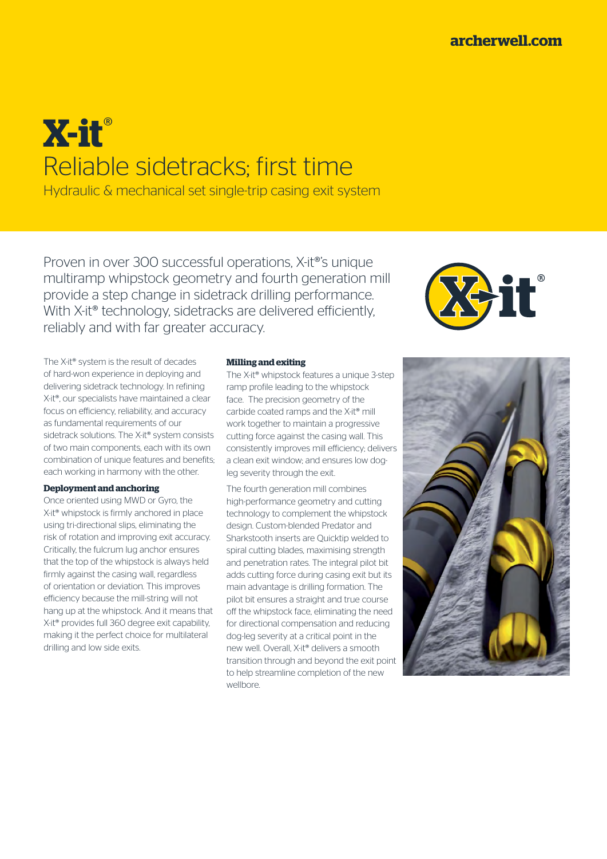# **X-it**® Reliable sidetracks; first time

Hydraulic & mechanical set single-trip casing exit system

Proven in over 300 successful operations, X-it®'s unique multiramp whipstock geometry and fourth generation mill provide a step change in sidetrack drilling performance. With X-it<sup>®</sup> technology, sidetracks are delivered efficiently, reliably and with far greater accuracy.

The X-it® system is the result of decades of hard-won experience in deploying and delivering sidetrack technology. In refining X-it®, our specialists have maintained a clear focus on efficiency, reliability, and accuracy as fundamental requirements of our sidetrack solutions. The X-it® system consists of two main components, each with its own combination of unique features and benefits; each working in harmony with the other.

## **Deployment and anchoring**

Once oriented using MWD or Gyro, the X-it<sup>®</sup> whipstock is firmly anchored in place using tri-directional slips, eliminating the risk of rotation and improving exit accuracy. Critically, the fulcrum lug anchor ensures that the top of the whipstock is always held firmly against the casing wall, regardless of orientation or deviation. This improves efficiency because the mill-string will not hang up at the whipstock. And it means that X-it® provides full 360 degree exit capability, making it the perfect choice for multilateral drilling and low side exits.

## **Milling and exiting**

The X-it® whipstock features a unique 3-step ramp profile leading to the whipstock face. The precision geometry of the carbide coated ramps and the X-it® mill work together to maintain a progressive cutting force against the casing wall. This consistently improves mill efficiency; delivers a clean exit window; and ensures low dogleg severity through the exit.

The fourth generation mill combines high-performance geometry and cutting technology to complement the whipstock design. Custom-blended Predator and Sharkstooth inserts are Quicktip welded to spiral cutting blades, maximising strength and penetration rates. The integral pilot bit adds cutting force during casing exit but its main advantage is drilling formation. The pilot bit ensures a straight and true course off the whipstock face, eliminating the need for directional compensation and reducing dog-leg severity at a critical point in the new well. Overall, X-it® delivers a smooth transition through and beyond the exit point to help streamline completion of the new wellbore.